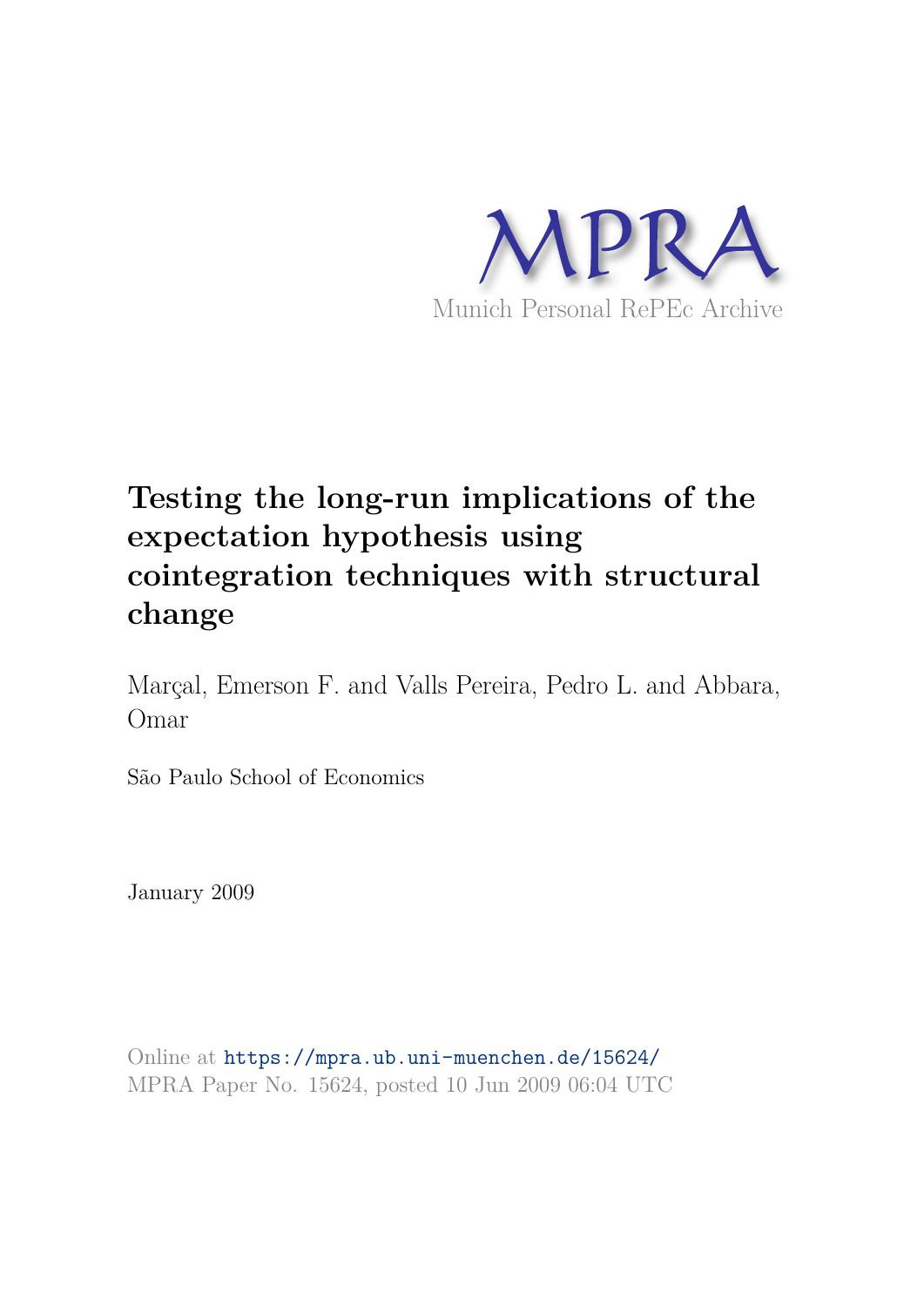

# **Testing the long-run implications of the expectation hypothesis using cointegration techniques with structural change**

Marçal, Emerson F. and Valls Pereira, Pedro L. and Abbara, Omar

São Paulo School of Economics

January 2009

Online at https://mpra.ub.uni-muenchen.de/15624/ MPRA Paper No. 15624, posted 10 Jun 2009 06:04 UTC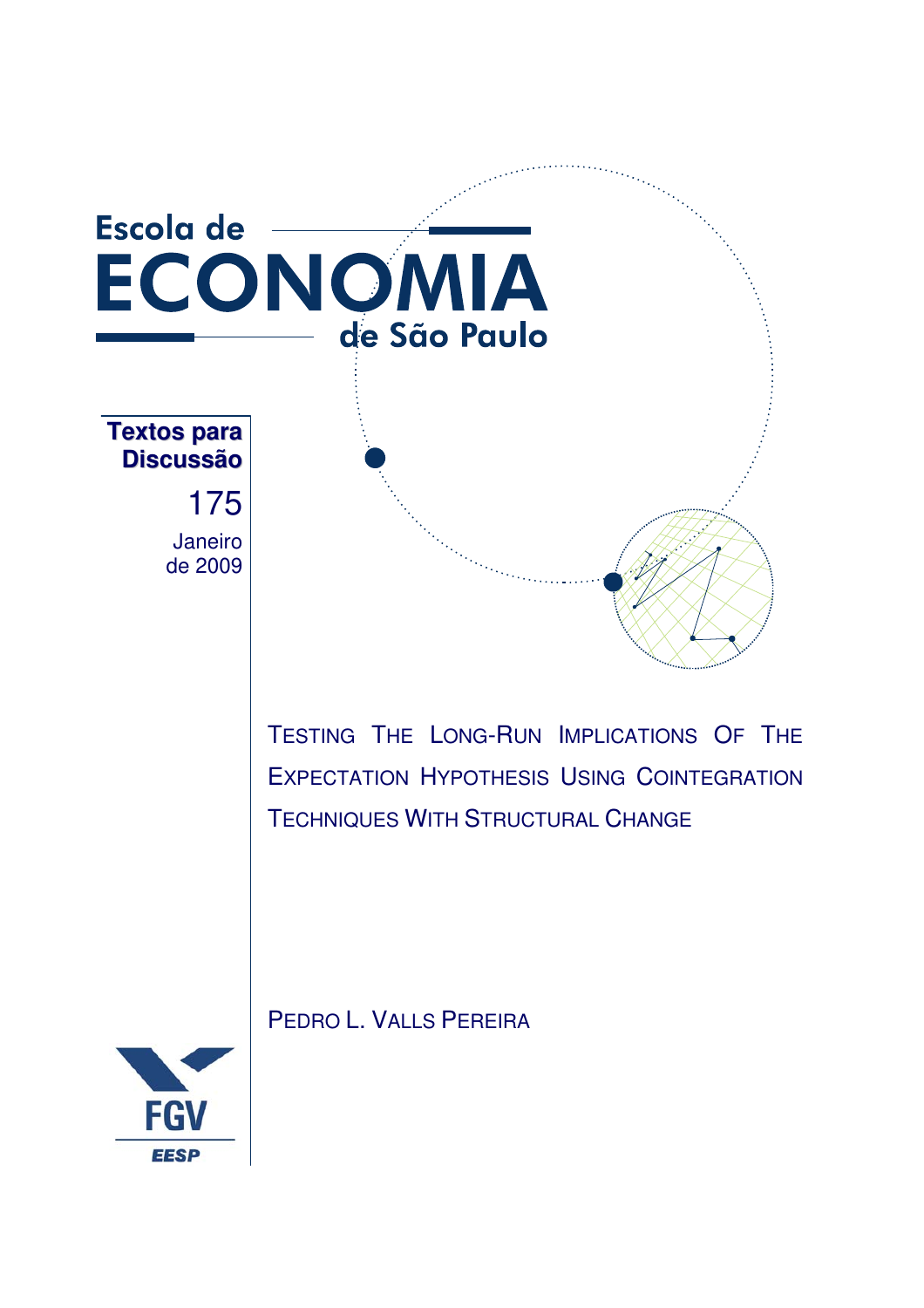

TESTING THE LONG-RUN IMPLICATIONS OF THE EXPECTATION HYPOTHESIS USING COINTEGRATION TECHNIQUES WITH STRUCTURAL CHANGE



PEDRO L. VALLS PEREIRA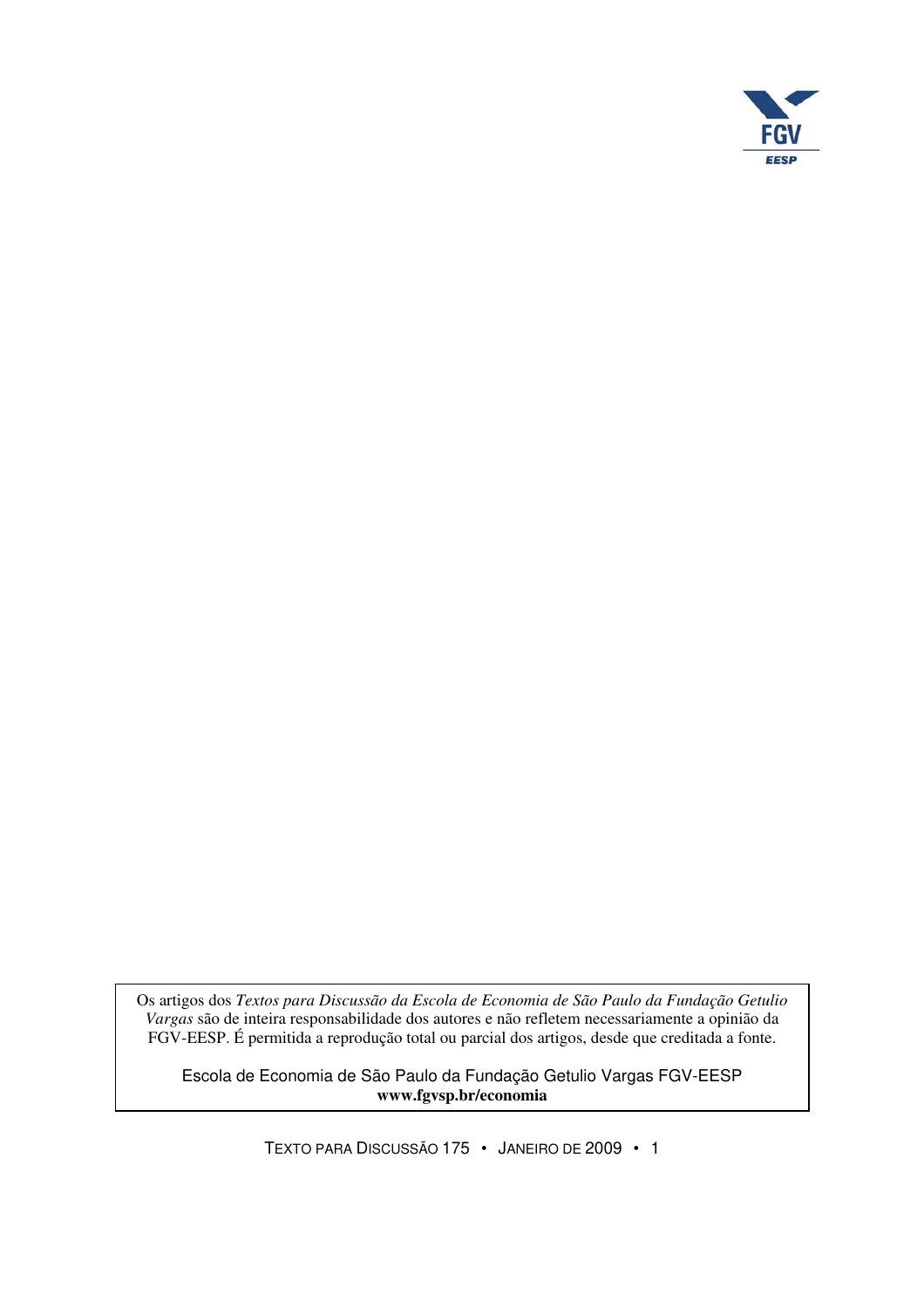

Os artigos dos *Textos para Discussão da Escola de Economia de São Paulo da Fundação Getulio Vargas* são de inteira responsabilidade dos autores e não refletem necessariamente a opinião da FGV-EESP. É permitida a reprodução total ou parcial dos artigos, desde que creditada a fonte.

Escola de Economia de São Paulo da Fundação Getulio Vargas FGV-EESP **www.fgvsp.br/economia** 

TEXTO PARA DISCUSSÃO 175 • JANEIRO DE 2009 • 1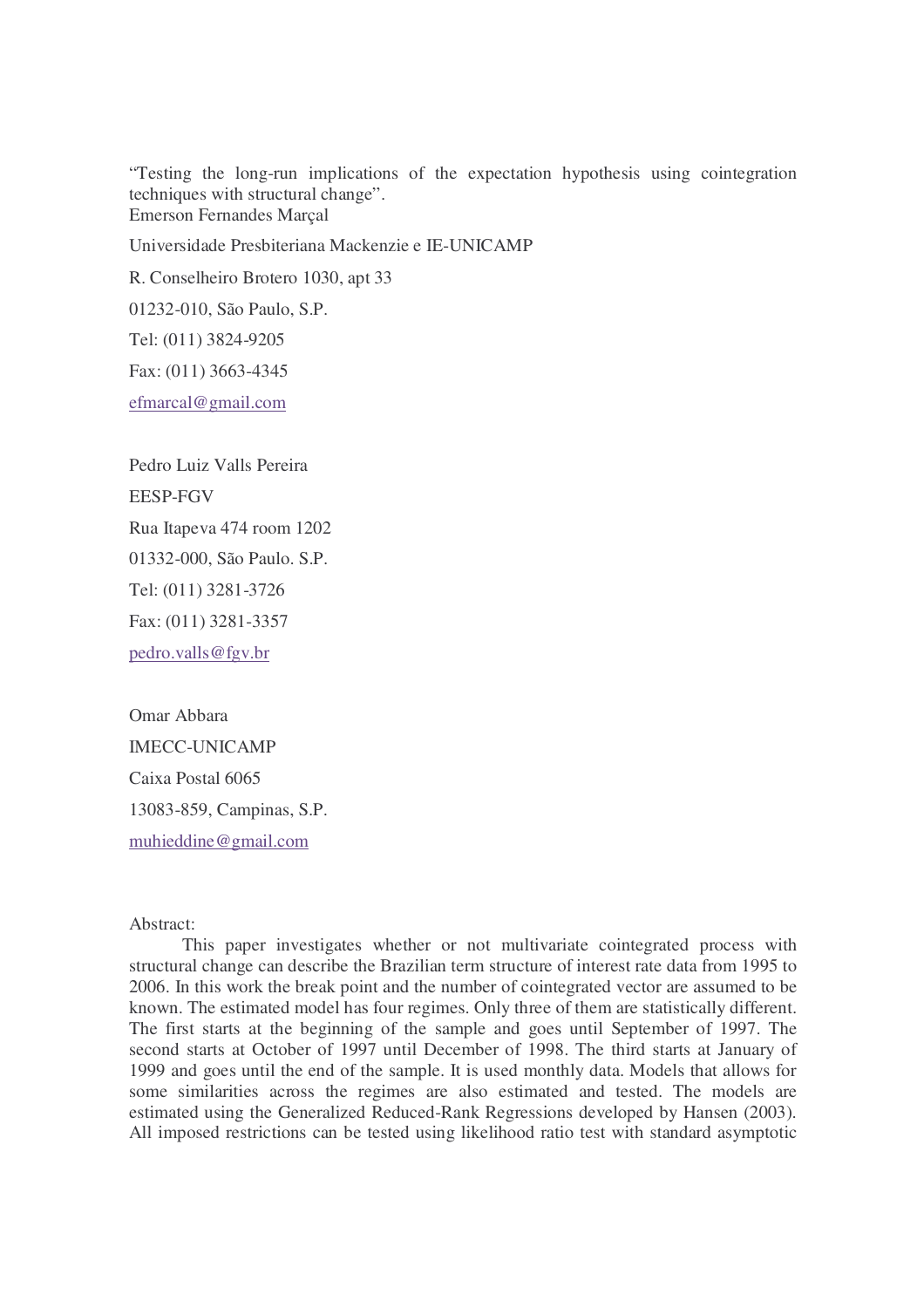"Testing the long-run implications of the expectation hypothesis using cointegration techniques with structural change". Emerson Fernandes Marçal

Universidade Presbiteriana Mackenzie e IE-UNICAMP

R. Conselheiro Brotero 1030, apt 33

01232-010, São Paulo, S.P.

Tel: (011) 3824-9205

Fax: (011) 3663-4345

efmarcal@gmail.com

Pedro Luiz Valls Pereira EESP-FGV Rua Itapeva 474 room 1202 01332-000, São Paulo. S.P. Tel: (011) 3281-3726 Fax: (011) 3281-3357 pedro.valls@fgv.br

Omar Abbara IMECC-UNICAMP Caixa Postal 6065 13083-859, Campinas, S.P. muhieddine@gmail.com

#### Abstract:

 This paper investigates whether or not multivariate cointegrated process with structural change can describe the Brazilian term structure of interest rate data from 1995 to 2006. In this work the break point and the number of cointegrated vector are assumed to be known. The estimated model has four regimes. Only three of them are statistically different. The first starts at the beginning of the sample and goes until September of 1997. The second starts at October of 1997 until December of 1998. The third starts at January of 1999 and goes until the end of the sample. It is used monthly data. Models that allows for some similarities across the regimes are also estimated and tested. The models are estimated using the Generalized Reduced-Rank Regressions developed by Hansen (2003). All imposed restrictions can be tested using likelihood ratio test with standard asymptotic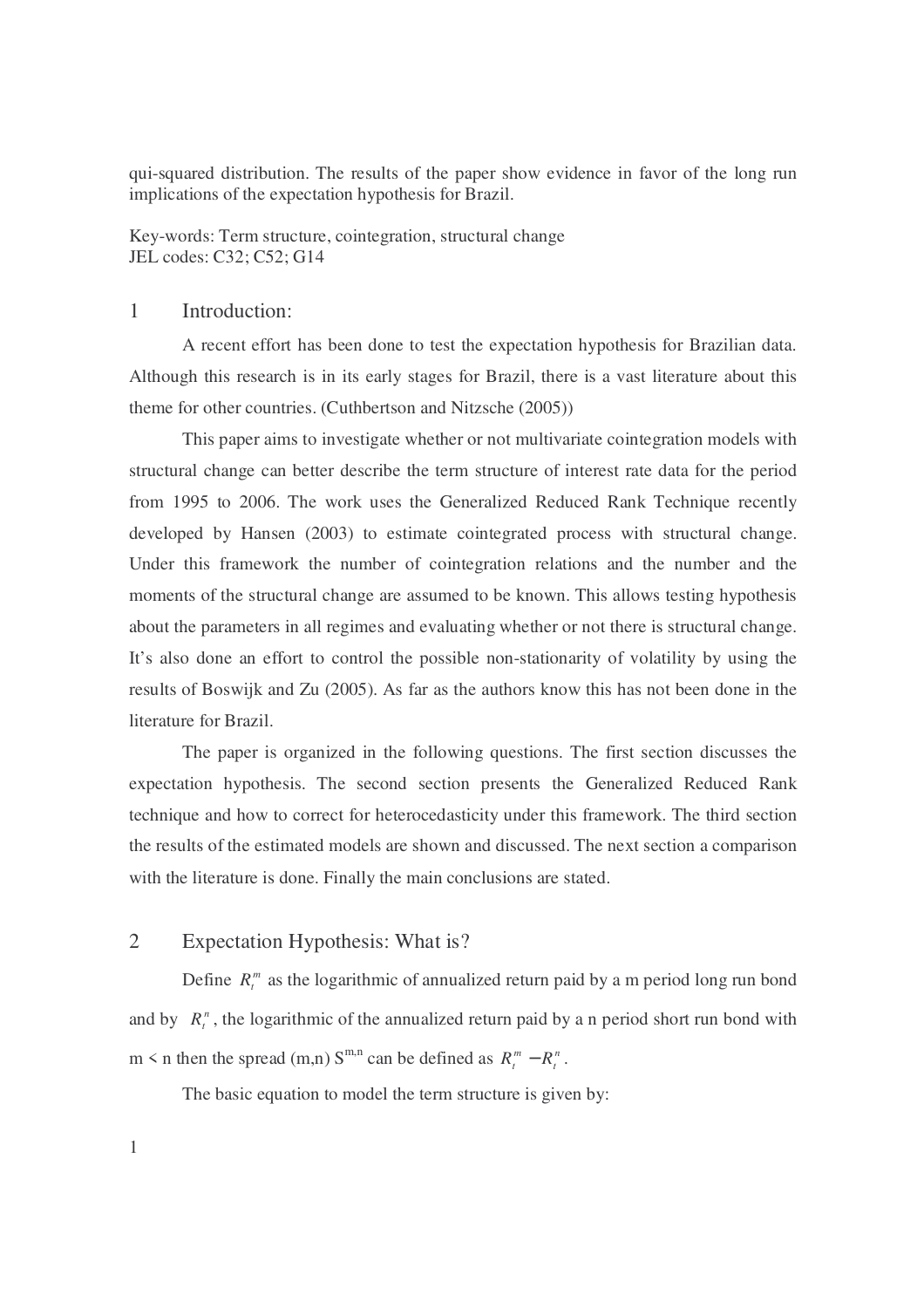qui-squared distribution. The results of the paper show evidence in favor of the long run implications of the expectation hypothesis for Brazil.

Key-words: Term structure, cointegration, structural change JEL codes: C32; C52; G14

# 1 Introduction:

 A recent effort has been done to test the expectation hypothesis for Brazilian data. Although this research is in its early stages for Brazil, there is a vast literature about this theme for other countries. (Cuthbertson and Nitzsche (2005))

 This paper aims to investigate whether or not multivariate cointegration models with structural change can better describe the term structure of interest rate data for the period from 1995 to 2006. The work uses the Generalized Reduced Rank Technique recently developed by Hansen (2003) to estimate cointegrated process with structural change. Under this framework the number of cointegration relations and the number and the moments of the structural change are assumed to be known. This allows testing hypothesis about the parameters in all regimes and evaluating whether or not there is structural change. It's also done an effort to control the possible non-stationarity of volatility by using the results of Boswijk and Zu (2005). As far as the authors know this has not been done in the literature for Brazil.

 The paper is organized in the following questions. The first section discusses the expectation hypothesis. The second section presents the Generalized Reduced Rank technique and how to correct for heterocedasticity under this framework. The third section the results of the estimated models are shown and discussed. The next section a comparison with the literature is done. Finally the main conclusions are stated.

# 2 Expectation Hypothesis: What is?

Define  $R_t^m$  as the logarithmic of annualized return paid by a m period long run bond and by  $R_t^n$ , the logarithmic of the annualized return paid by a n period short run bond with m  $\leq$  n then the spread (m,n) S<sup>m,n</sup> can be defined as  $R_t^m - R_t^n$  $R_t^m - R_t^n$ .

The basic equation to model the term structure is given by: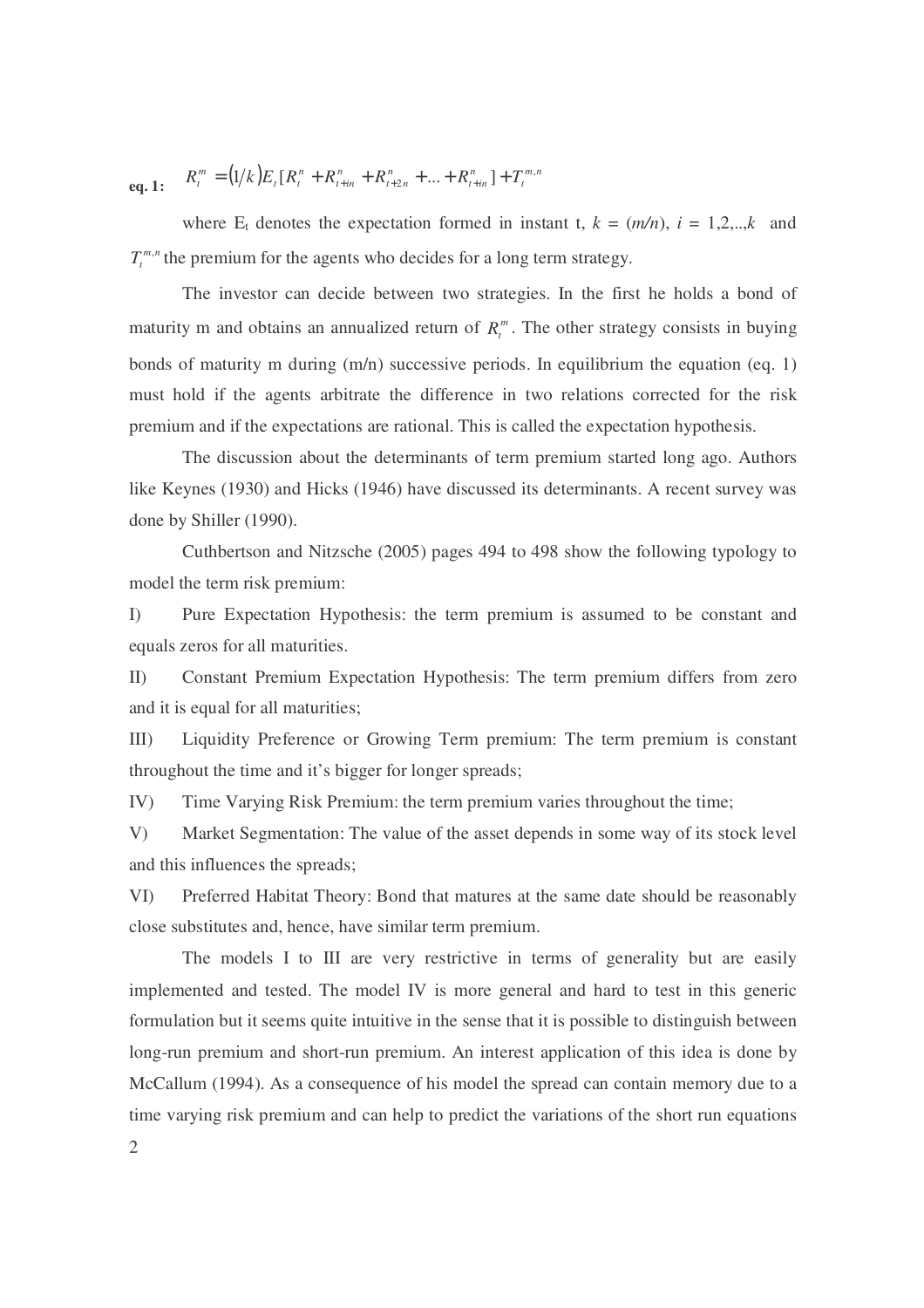**eq. 1:**  $R_t^m = (1/k)E_t[R_t^n + R_{t+in}^n + R_{t+2n}^n + ... + R_{t+in}^n] + T_t^{m,n}$ *t n int n nt n int n*  $t$  *t*  $\mathbf{L}$   $\mathbf{L}$   $\mathbf{L}$  $R_t^m = (1/k)E_t[R_t^n + R_{t+in}^n + R_{t+2n}^n + ... + R_{t+in}^n] + T_t^m$ 

where  $E_t$  denotes the expectation formed in instant t,  $k = (m/n)$ ,  $i = 1,2,...,k$  and  $T_t^{m,n}$  the premium for the agents who decides for a long term strategy.

 The investor can decide between two strategies. In the first he holds a bond of maturity m and obtains an annualized return of  $R_t^m$ . The other strategy consists in buying bonds of maturity m during  $(m/n)$  successive periods. In equilibrium the equation (eq. 1) must hold if the agents arbitrate the difference in two relations corrected for the risk premium and if the expectations are rational. This is called the expectation hypothesis.

 The discussion about the determinants of term premium started long ago. Authors like Keynes (1930) and Hicks (1946) have discussed its determinants. A recent survey was done by Shiller (1990).

 Cuthbertson and Nitzsche (2005) pages 494 to 498 show the following typology to model the term risk premium:

I) Pure Expectation Hypothesis: the term premium is assumed to be constant and equals zeros for all maturities.

II) Constant Premium Expectation Hypothesis: The term premium differs from zero and it is equal for all maturities;

III) Liquidity Preference or Growing Term premium: The term premium is constant throughout the time and it's bigger for longer spreads;

IV) Time Varying Risk Premium: the term premium varies throughout the time;

V) Market Segmentation: The value of the asset depends in some way of its stock level and this influences the spreads;

VI) Preferred Habitat Theory: Bond that matures at the same date should be reasonably close substitutes and, hence, have similar term premium.

The models I to III are very restrictive in terms of generality but are easily implemented and tested. The model IV is more general and hard to test in this generic formulation but it seems quite intuitive in the sense that it is possible to distinguish between long-run premium and short-run premium. An interest application of this idea is done by McCallum (1994). As a consequence of his model the spread can contain memory due to a time varying risk premium and can help to predict the variations of the short run equations

2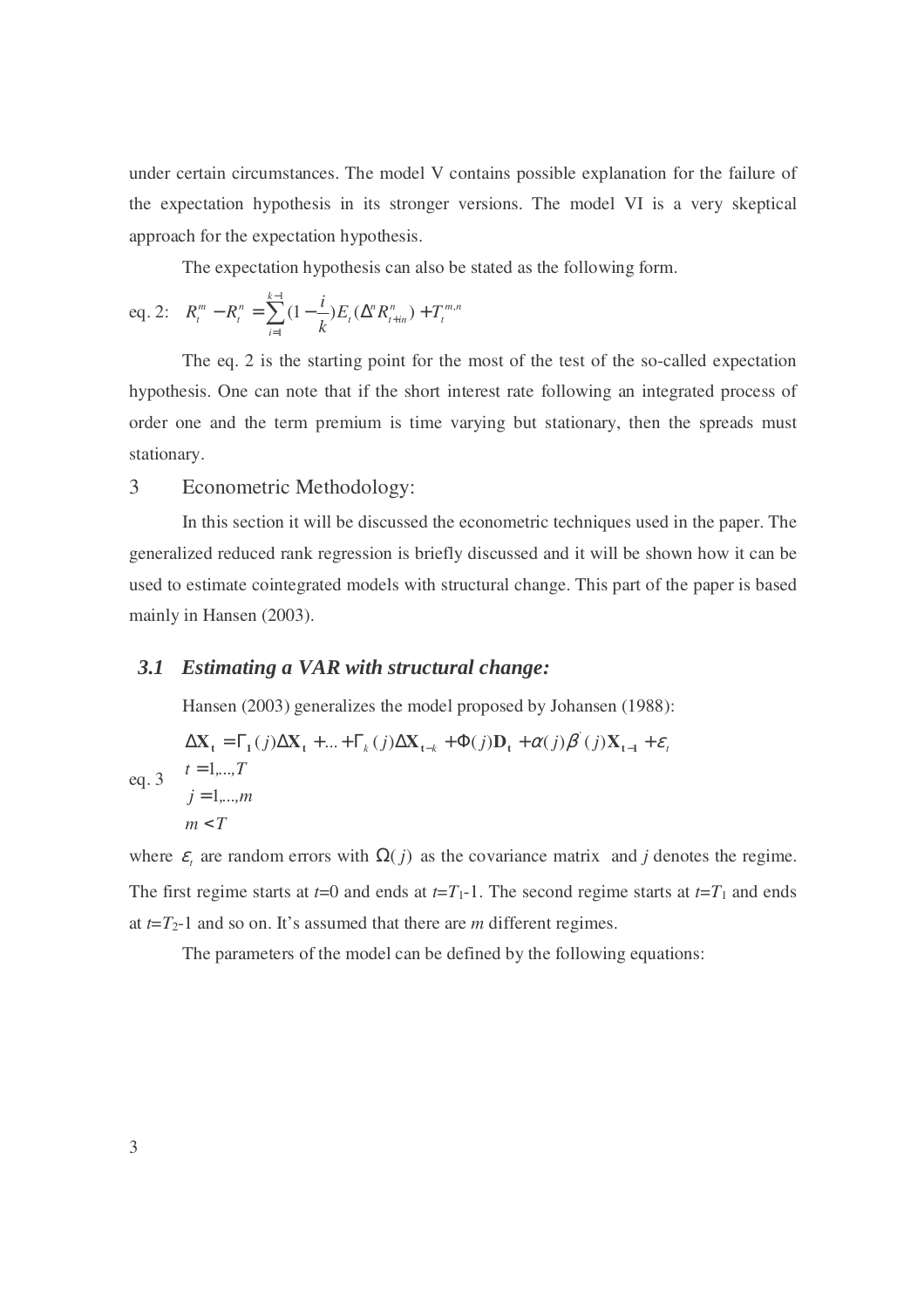under certain circumstances. The model V contains possible explanation for the failure of the expectation hypothesis in its stronger versions. The model VI is a very skeptical approach for the expectation hypothesis.

The expectation hypothesis can also be stated as the following form.

eq. 2: 
$$
R_t^m - R_t^n = \sum_{i=1}^{k-1} (1 - \frac{i}{k}) E_t(\Delta^n R_{t+in}^n) + T_t^{m,n}
$$

 The eq. 2 is the starting point for the most of the test of the so-called expectation hypothesis. One can note that if the short interest rate following an integrated process of order one and the term premium is time varying but stationary, then the spreads must stationary.

# 3 Econometric Methodology:

 In this section it will be discussed the econometric techniques used in the paper. The generalized reduced rank regression is briefly discussed and it will be shown how it can be used to estimate cointegrated models with structural change. This part of the paper is based mainly in Hansen (2003).

#### *3.1 Estimating a VAR with structural change:*

Hansen (2003) generalizes the model proposed by Johansen (1988):

$$
\Delta \mathbf{X}_{t} = \Gamma_{1}(j)\Delta \mathbf{X}_{t} + ... + \Gamma_{k}(j)\Delta \mathbf{X}_{t-k} + \Phi(j)\mathbf{D}_{t} + \alpha(j)\beta'(j)\mathbf{X}_{t-1} + \varepsilon_{t}
$$
  
eq. 3 
$$
t = 1,...,T
$$

$$
j = 1,...,m
$$

$$
m < T
$$

where  $\varepsilon$ <sub>*t*</sub> are random errors with  $\Omega(j)$  as the covariance matrix and *j* denotes the regime. The first regime starts at  $t=0$  and ends at  $t=T_1-1$ . The second regime starts at  $t=T_1$  and ends at  $t=T_2-1$  and so on. It's assumed that there are *m* different regimes.

The parameters of the model can be defined by the following equations: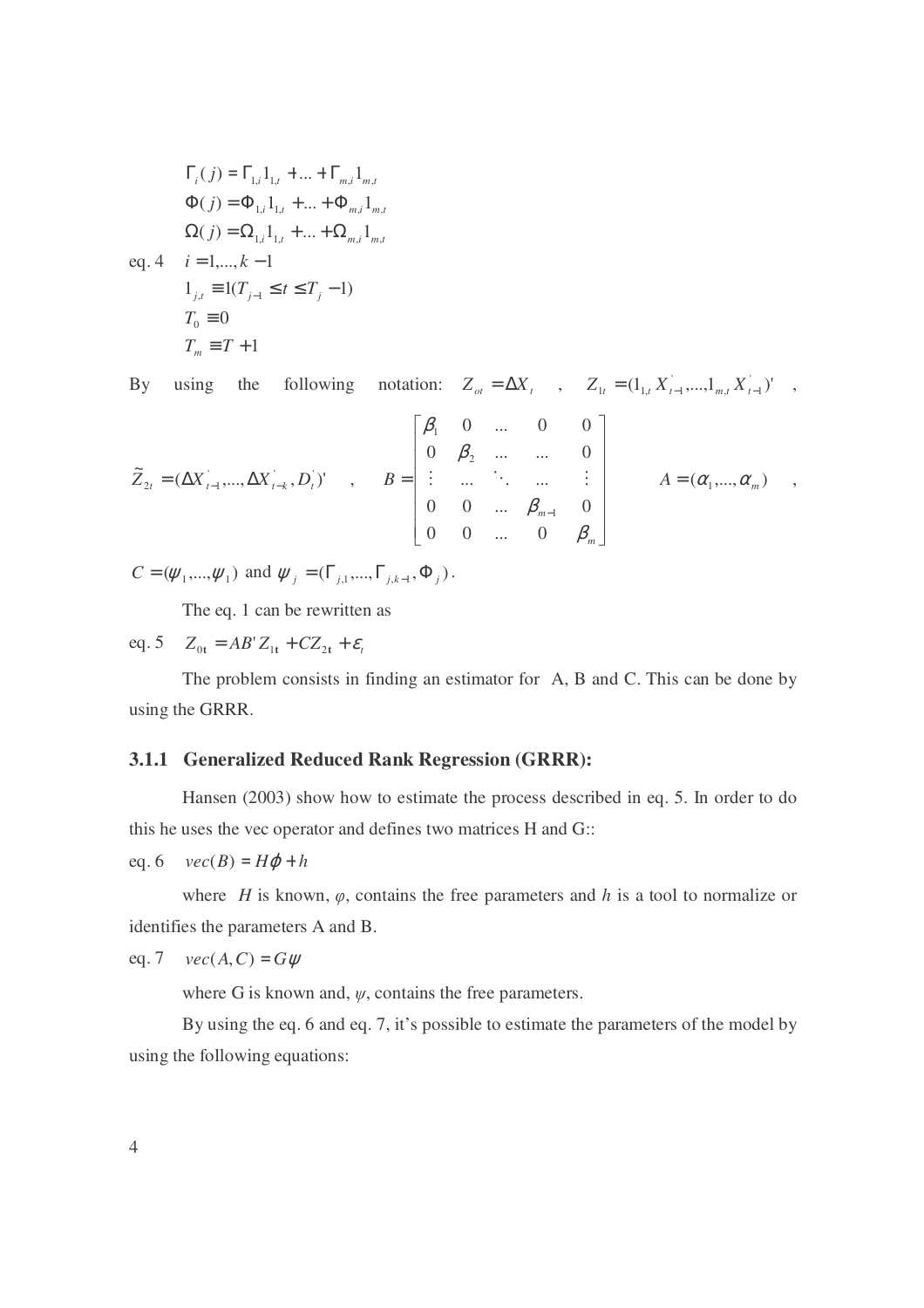$$
\Gamma_i(j) = \Gamma_{1,i} 1_{1,t} + ... + \Gamma_{m,i} 1_{m,t}
$$
  
\n
$$
\Phi(j) = \Phi_{1,i} 1_{1,t} + ... + \Phi_{m,i} 1_{m,t}
$$
  
\n
$$
\Omega(j) = \Omega_{1,i} 1_{1,t} + ... + \Omega_{m,i} 1_{m,t}
$$
  
\neq. 4  $i = 1,..., k - 1$   
\n
$$
1_{j,t} = 1(T_{j-1} \le t \le T_j - 1)
$$
  
\n $T_0 = 0$   
\n $T_m = T + 1$ 

By using the following notation:  $Z_{ot} = \Delta X_t$ ,  $Z_{1t} = (1_{1,t} X_{t-1}^{'},...,1_{m,t} X_{t-1}^{'})'$ ,

$$
\widetilde{Z}_{2t} = (\Delta X_{t-1}^+, ..., \Delta X_{t-k}^+, D_t^+)^t , \qquad B = \begin{bmatrix} \beta_1 & 0 & \dots & 0 & 0 \\ 0 & \beta_2 & \dots & \dots & 0 \\ \vdots & \dots & \ddots & \dots & \vdots \\ 0 & 0 & \dots & \beta_{m-1} & 0 \\ 0 & 0 & \dots & 0 & \beta_m \end{bmatrix} \qquad A = (\alpha_1^-, ..., \alpha_m^+) ,
$$

 $C = (\psi_1, ..., \psi_1)$  and  $\psi_j = (\Gamma_{j,1}, ..., \Gamma_{j,k-1}, \Phi_j)$ .

The eq. 1 can be rewritten as

eq. 5  $Z_{0t} = AB'Z_{1t} + CZ_{2t} + \varepsilon_t$ 

 The problem consists in finding an estimator for A, B and C. This can be done by using the GRRR.

# **3.1.1 Generalized Reduced Rank Regression (GRRR):**

 Hansen (2003) show how to estimate the process described in eq. 5. In order to do this he uses the vec operator and defines two matrices H and G::

eq. 6  $vec(B) = H\varphi + h$ 

where *H* is known,  $\varphi$ , contains the free parameters and *h* is a tool to normalize or identifies the parameters A and B.

eq. 7 
$$
vec(A, C) = G\psi
$$

where G is known and,  $\psi$ , contains the free parameters.

 By using the eq. 6 and eq. 7, it's possible to estimate the parameters of the model by using the following equations: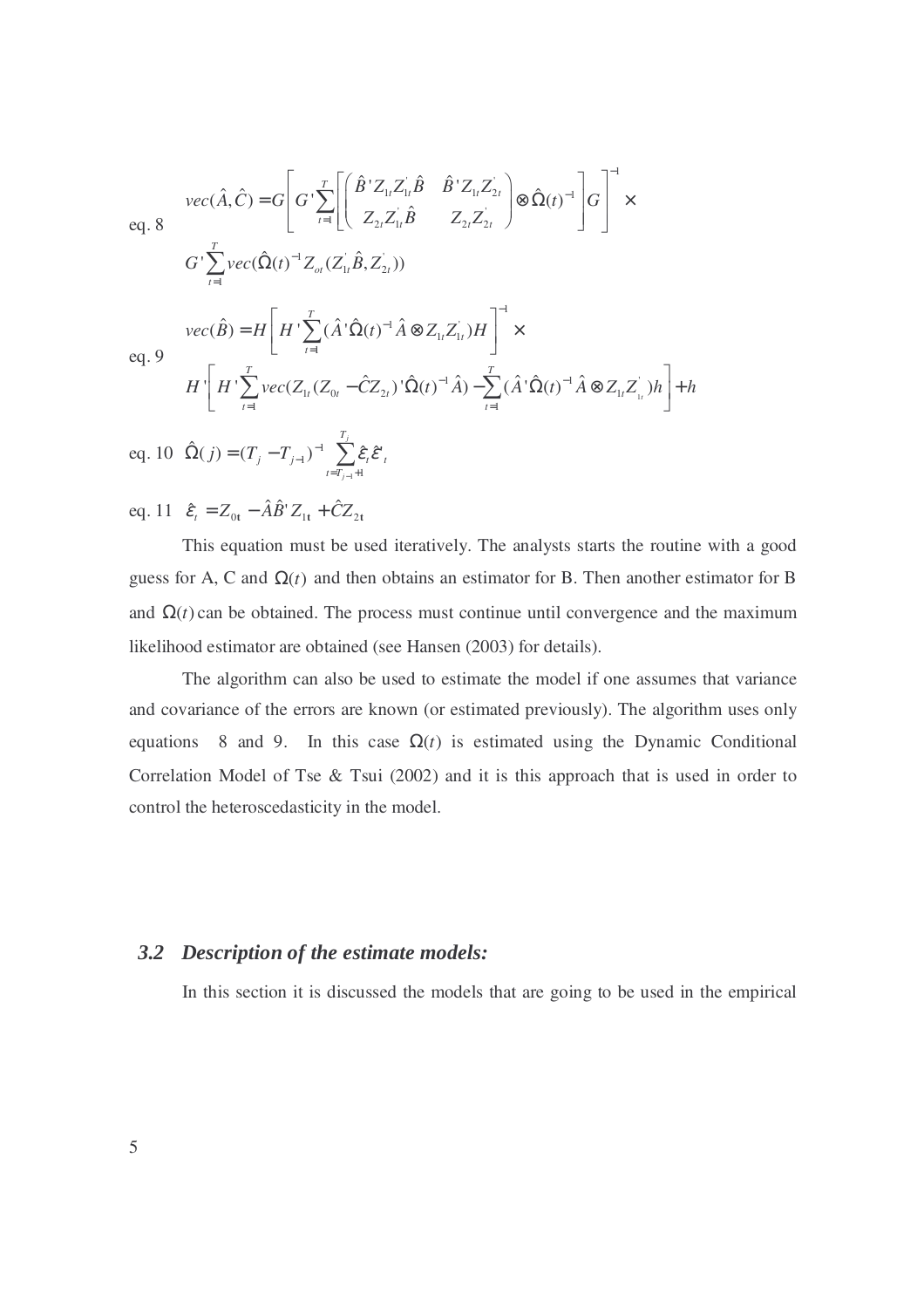$$
vec(\hat{A}, \hat{C}) = G \left[ G' \sum_{t=1}^{T} \left[ \left( \hat{B}^{\dagger} Z_{1t} Z_{1t}^{\dagger} \hat{B} - \hat{B}^{\dagger} Z_{1t} Z_{2t}^{\dagger} \right) \otimes \hat{\Omega}(t)^{-1} \right] G \right]^{-1} \times
$$
  
\neq. 8  
\n
$$
G' \sum_{t=1}^{T} vec(\hat{\Omega}(t)^{-1} Z_{\sigma t} (Z_{1t}^{\dagger} \hat{B}, Z_{2t}))
$$
  
\n
$$
vec(\hat{B}) = H \left[ H' \sum_{t=1}^{T} (\hat{A}^{\dagger} \hat{\Omega}(t)^{-1} \hat{A} \otimes Z_{1t} Z_{1t}^{\dagger}) H \right]^{-1} \times
$$
  
\neq. 9  
\n
$$
H' \left[ H' \sum_{t=1}^{T} vec(Z_{1t} (Z_{0t} - \hat{C} Z_{2t}) \hat{\Omega}(t)^{-1} \hat{A}) - \sum_{t=1}^{T} (\hat{A}^{\dagger} \hat{\Omega}(t)^{-1} \hat{A} \otimes Z_{1t} Z_{1t}^{\dagger}) h \right] + h
$$
  
\neq. 10  $\hat{\Omega}(j) = (T_j - T_{j-1})^{-1} \sum_{t=T_{j-1}+1}^{T_j} \hat{\varepsilon}_t \hat{\varepsilon}_t^{\dagger}$   
\neq. 11  $\hat{\varepsilon}_t = Z_{0t} - \hat{A} \hat{B}' Z_{1t} + \hat{C} Z_{2t}$ 

 This equation must be used iteratively. The analysts starts the routine with a good guess for A, C and  $\Omega(t)$  and then obtains an estimator for B. Then another estimator for B and  $\Omega(t)$  can be obtained. The process must continue until convergence and the maximum likelihood estimator are obtained (see Hansen (2003) for details).

 The algorithm can also be used to estimate the model if one assumes that variance and covariance of the errors are known (or estimated previously). The algorithm uses only equations 8 and 9. In this case  $\Omega(t)$  is estimated using the Dynamic Conditional Correlation Model of Tse & Tsui (2002) and it is this approach that is used in order to control the heteroscedasticity in the model.

# *3.2 Description of the estimate models:*

In this section it is discussed the models that are going to be used in the empirical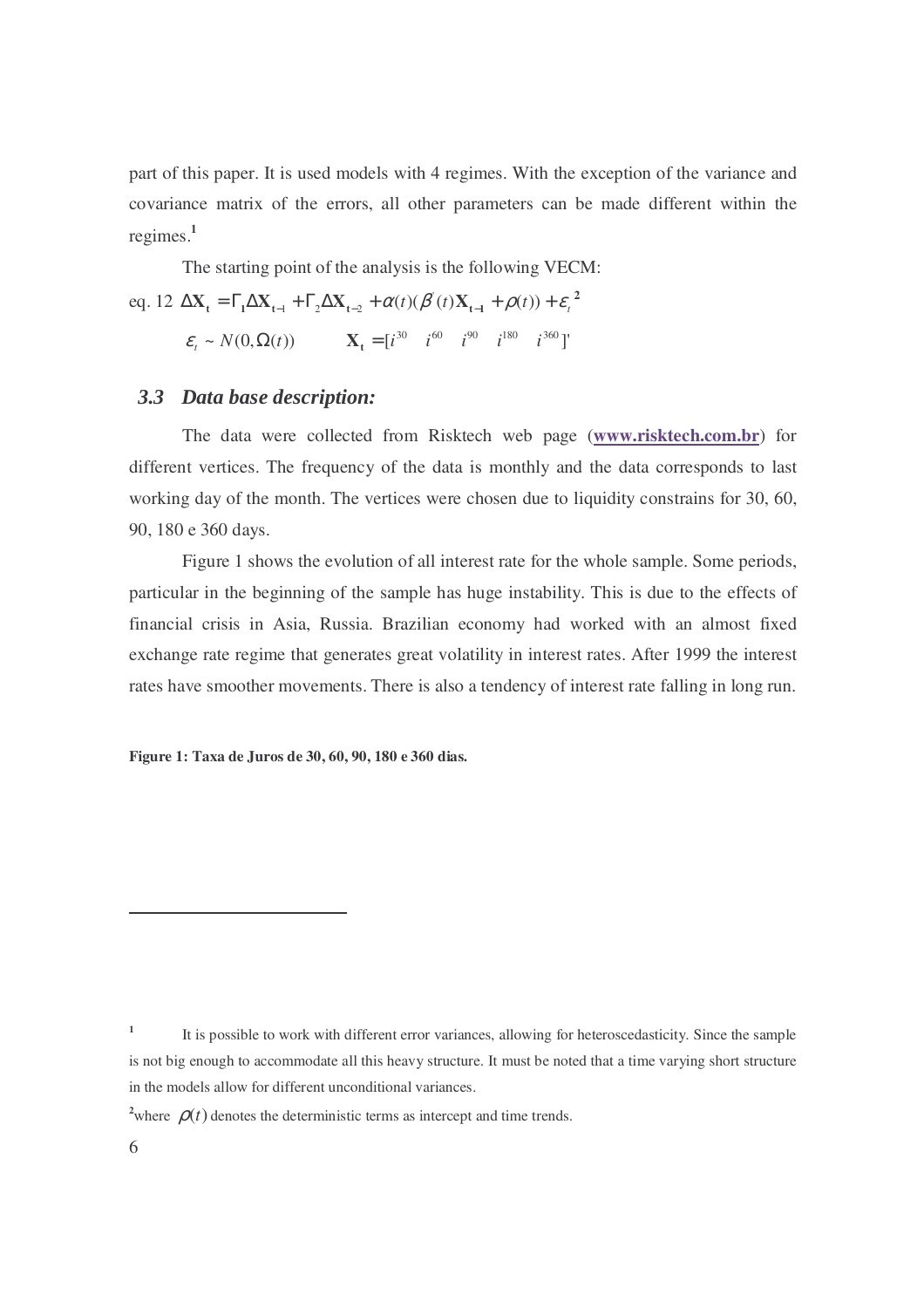part of this paper. It is used models with 4 regimes. With the exception of the variance and covariance matrix of the errors, all other parameters can be made different within the regimes.**<sup>1</sup>**

The starting point of the analysis is the following VECM:

 $eq. 12 \Delta X_t = \Gamma_1 \Delta X_{t-1} + \Gamma_2 \Delta X_{t-2} + \alpha(t) (\beta'(t)X_{t-1} + \rho(t)) + \varepsilon_t^2$  $\varepsilon_t \sim N(0, \Omega(t))$   $\mathbf{X}_t = [i^{30} \quad i^{60} \quad i^{90} \quad i^{180} \quad i^{360}]'$ 

# *3.3 Data base description:*

 The data were collected from Risktech web page (**www.risktech.com.br**) for different vertices. The frequency of the data is monthly and the data corresponds to last working day of the month. The vertices were chosen due to liquidity constrains for 30, 60, 90, 180 e 360 days.

 Figure 1 shows the evolution of all interest rate for the whole sample. Some periods, particular in the beginning of the sample has huge instability. This is due to the effects of financial crisis in Asia, Russia. Brazilian economy had worked with an almost fixed exchange rate regime that generates great volatility in interest rates. After 1999 the interest rates have smoother movements. There is also a tendency of interest rate falling in long run.

**Figure 1: Taxa de Juros de 30, 60, 90, 180 e 360 dias.** 

 $\overline{a}$ 

**<sup>1</sup>** It is possible to work with different error variances, allowing for heteroscedasticity. Since the sample is not big enough to accommodate all this heavy structure. It must be noted that a time varying short structure in the models allow for different unconditional variances.

<sup>&</sup>lt;sup>2</sup>where  $\rho(t)$  denotes the deterministic terms as intercept and time trends.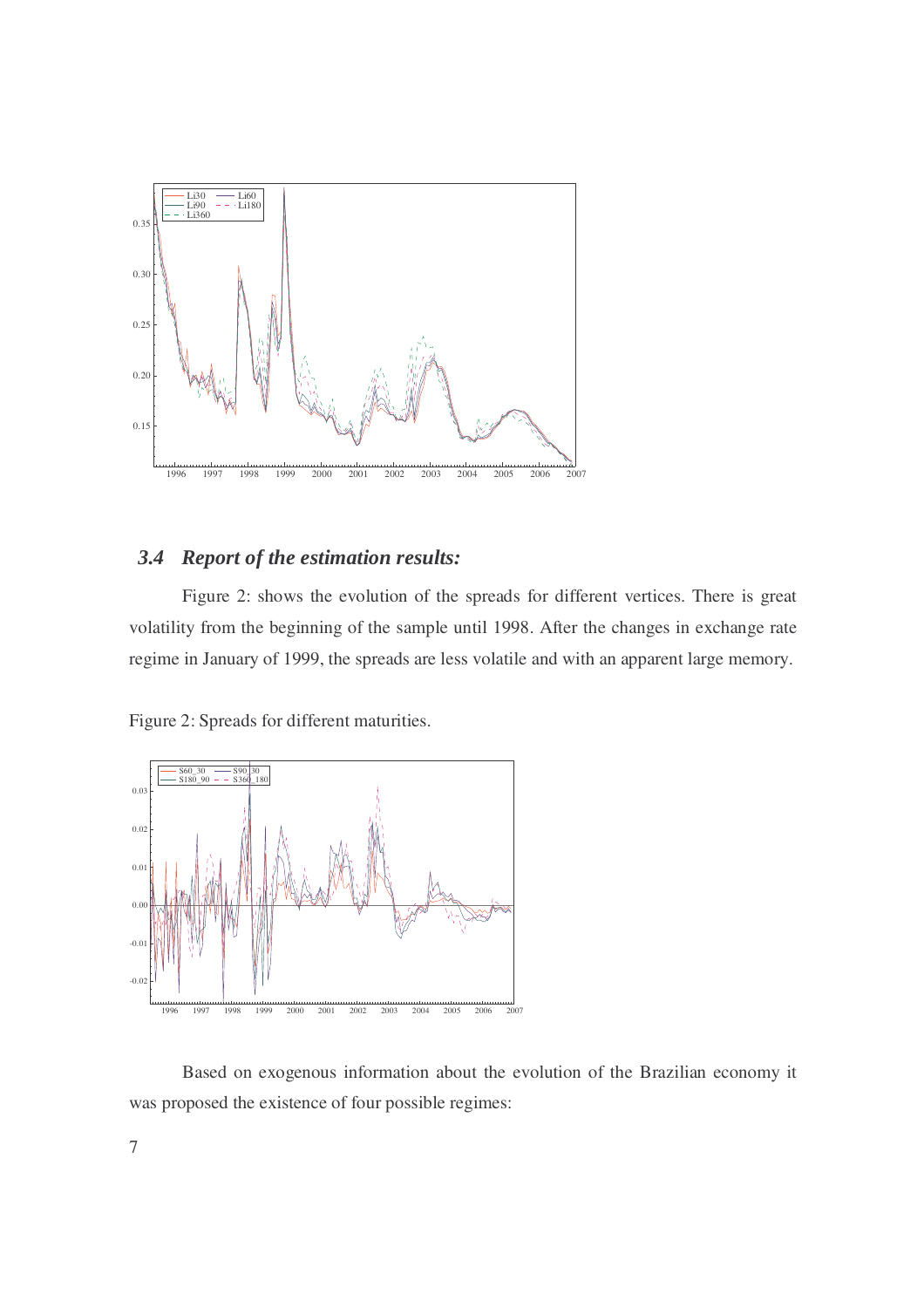

# *3.4 Report of the estimation results:*

 Figure 2: shows the evolution of the spreads for different vertices. There is great volatility from the beginning of the sample until 1998. After the changes in exchange rate regime in January of 1999, the spreads are less volatile and with an apparent large memory.

Figure 2: Spreads for different maturities.



 Based on exogenous information about the evolution of the Brazilian economy it was proposed the existence of four possible regimes: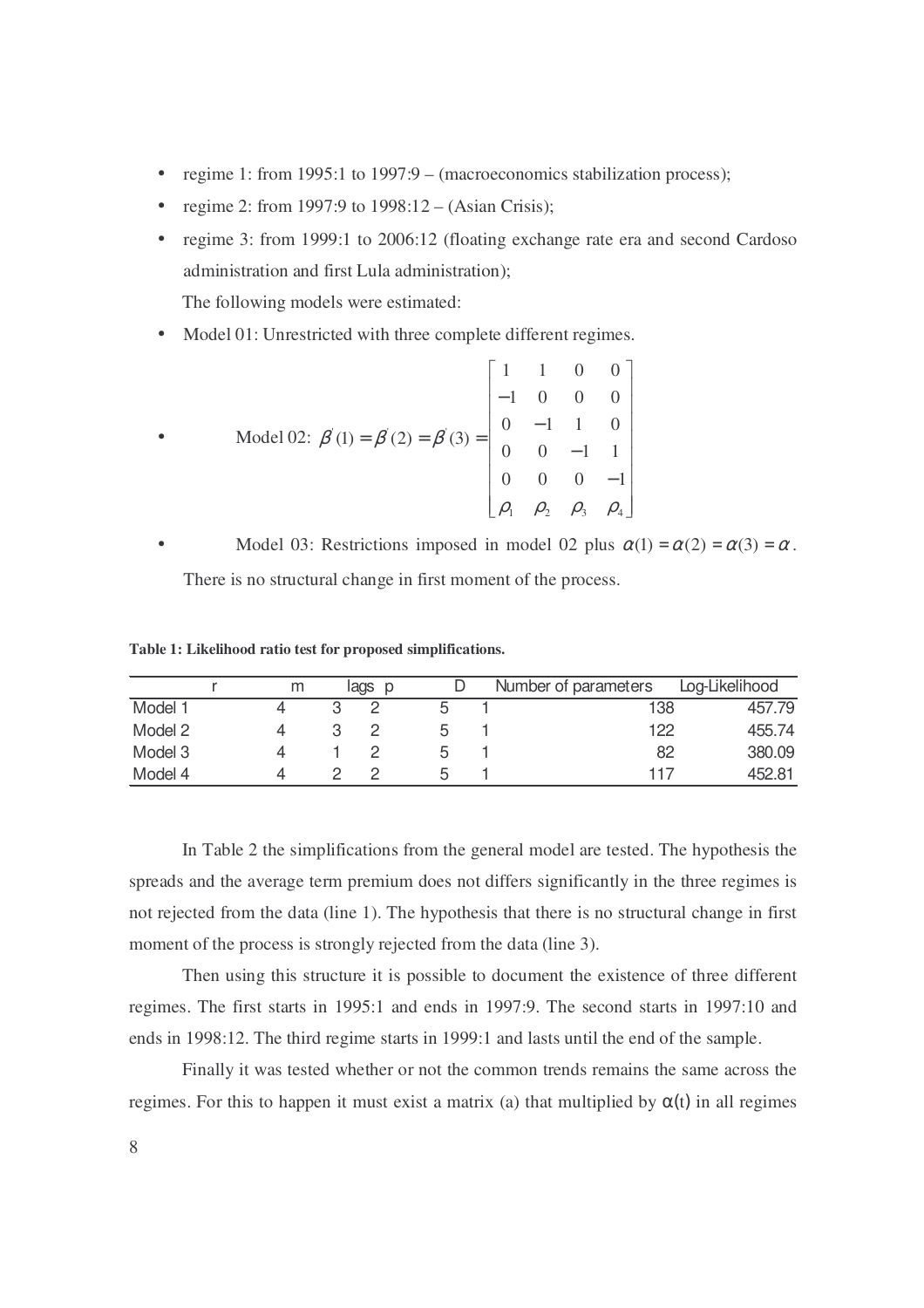- regime 1: from 1995:1 to 1997:9 (macroeconomics stabilization process);
- regime 2: from 1997:9 to  $1998:12 (Asian Crisis);$
- regime 3: from 1999:1 to 2006:12 (floating exchange rate era and second Cardoso administration and first Lula administration); The following models were estimated:
- Model 01: Unrestricted with three complete different regimes.

$$
\bullet \qquad \text{Model 02: } \beta'(1) = \beta'(2) = \beta'(3) = \begin{bmatrix} 1 & 1 & 0 & 0 \\ -1 & 0 & 0 & 0 \\ 0 & -1 & 1 & 0 \\ 0 & 0 & -1 & 1 \\ 0 & 0 & 0 & -1 \\ \rho_1 & \rho_2 & \rho_3 & \rho_4 \end{bmatrix}
$$

Model 03: Restrictions imposed in model 02 plus  $\alpha(1) = \alpha(2) = \alpha(3) = \alpha$ . There is no structural change in first moment of the process.

**Table 1: Likelihood ratio test for proposed simplifications.** 

|         | m | lags | D |   | Number of parameters |     | Log-Likelihood |
|---------|---|------|---|---|----------------------|-----|----------------|
| Model 1 |   |      |   | h |                      | 138 | 457.79         |
| Model 2 |   |      |   | 5 |                      | 122 | 455.74         |
| Model 3 |   |      |   | b |                      | 82  | 380.09         |
| Model 4 |   |      |   | h |                      | 117 | 452.81         |

 In Table 2 the simplifications from the general model are tested. The hypothesis the spreads and the average term premium does not differs significantly in the three regimes is not rejected from the data (line 1). The hypothesis that there is no structural change in first moment of the process is strongly rejected from the data (line 3).

 Then using this structure it is possible to document the existence of three different regimes. The first starts in 1995:1 and ends in 1997:9. The second starts in 1997:10 and ends in 1998:12. The third regime starts in 1999:1 and lasts until the end of the sample.

 Finally it was tested whether or not the common trends remains the same across the regimes. For this to happen it must exist a matrix (a) that multiplied by  $\alpha(t)$  in all regimes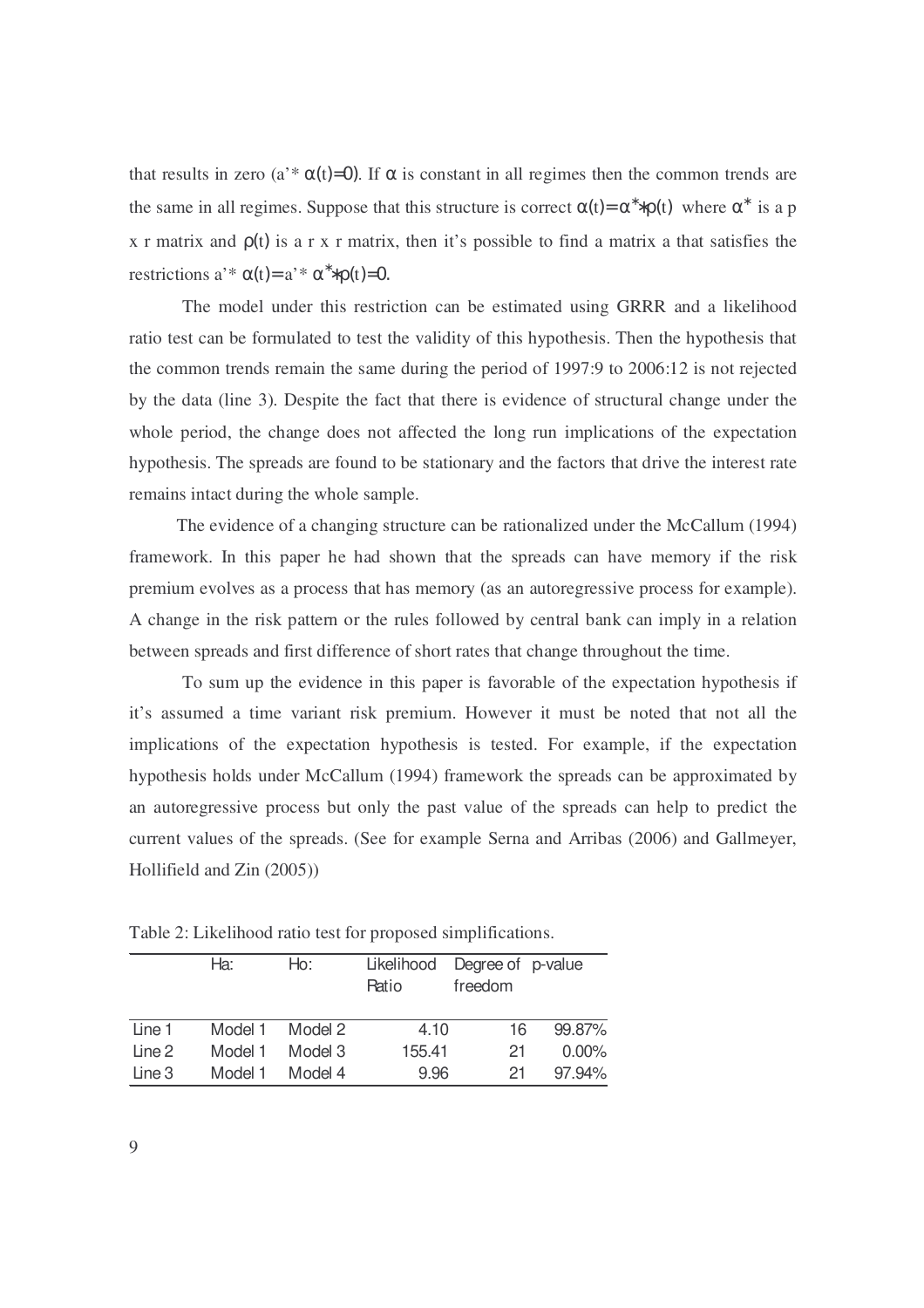that results in zero (a<sup>'\*</sup>  $\alpha$ (t)=0). If  $\alpha$  is constant in all regimes then the common trends are the same in all regimes. Suppose that this structure is correct  $\alpha(t) = \alpha^* * \rho(t)$  where  $\alpha^*$  is a p x r matrix and  $\rho(t)$  is a r x r matrix, then it's possible to find a matrix a that satisfies the restrictions a'\*  $\alpha(t) = a' * \alpha^* \rho(t) = 0$ .

 The model under this restriction can be estimated using GRRR and a likelihood ratio test can be formulated to test the validity of this hypothesis. Then the hypothesis that the common trends remain the same during the period of 1997:9 to 2006:12 is not rejected by the data (line 3). Despite the fact that there is evidence of structural change under the whole period, the change does not affected the long run implications of the expectation hypothesis. The spreads are found to be stationary and the factors that drive the interest rate remains intact during the whole sample.

 The evidence of a changing structure can be rationalized under the McCallum (1994) framework. In this paper he had shown that the spreads can have memory if the risk premium evolves as a process that has memory (as an autoregressive process for example). A change in the risk pattern or the rules followed by central bank can imply in a relation between spreads and first difference of short rates that change throughout the time.

 To sum up the evidence in this paper is favorable of the expectation hypothesis if it's assumed a time variant risk premium. However it must be noted that not all the implications of the expectation hypothesis is tested. For example, if the expectation hypothesis holds under McCallum (1994) framework the spreads can be approximated by an autoregressive process but only the past value of the spreads can help to predict the current values of the spreads. (See for example Serna and Arribas (2006) and Gallmeyer, Hollifield and Zin (2005))

|        | Ha:     | Ho:     | Likelihood<br>Ratio | Degree of p-value<br>freedom |          |
|--------|---------|---------|---------------------|------------------------------|----------|
| Line 1 | Model 1 | Model 2 | 4.10                | 16                           | 99.87%   |
| Line 2 | Model 1 | Model 3 | 155.41              | 21                           | $0.00\%$ |
| Line 3 | Model 1 | Model 4 | 9.96                | 21                           | 97.94%   |

Table 2: Likelihood ratio test for proposed simplifications.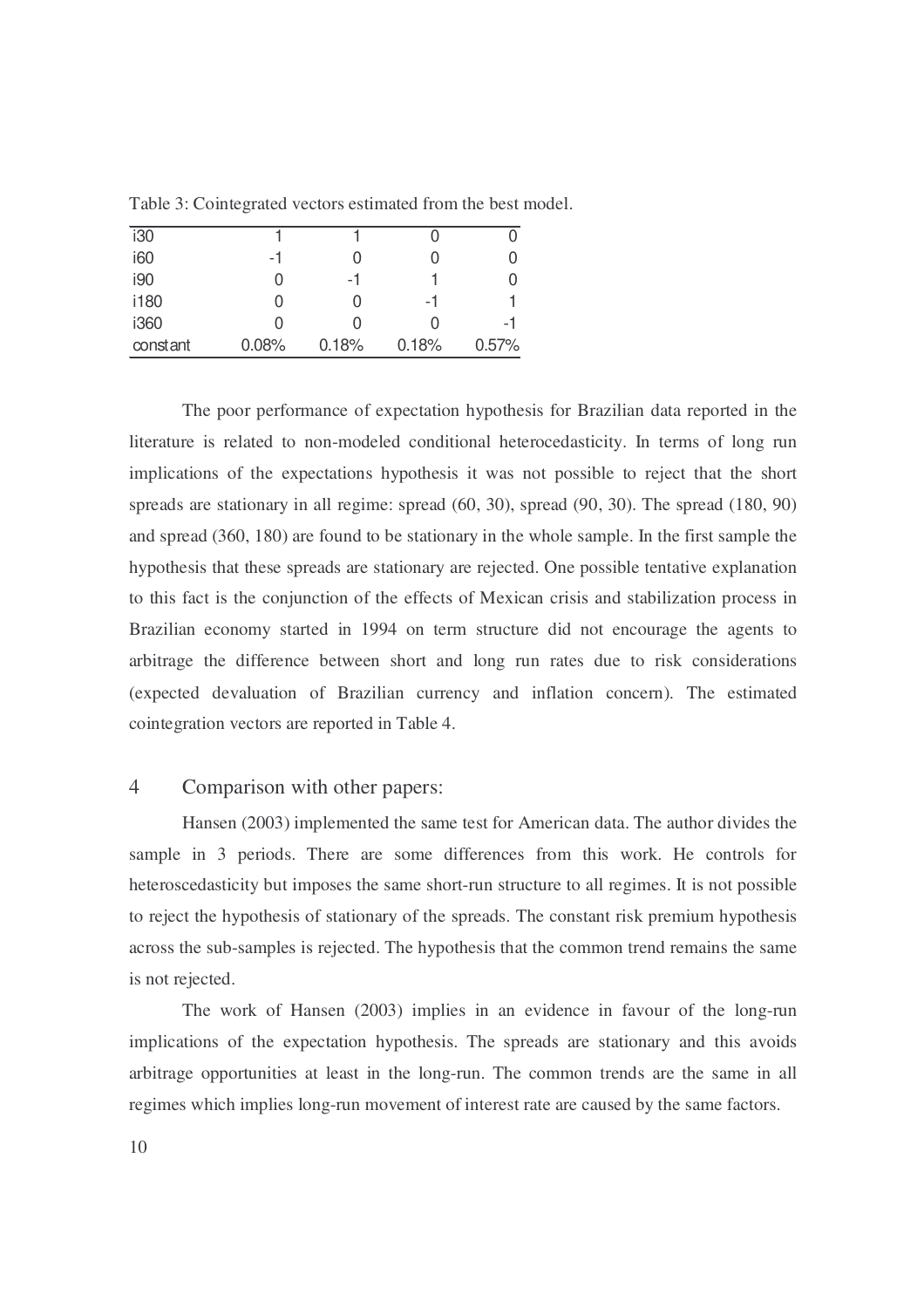| i30      |                  |       |       |       |
|----------|------------------|-------|-------|-------|
| i60      | -1               |       |       |       |
| i90      | 0                | -1    |       |       |
| i180     | 0                |       | -1    |       |
| i360     | $\left( \right)$ |       |       | -1    |
| constant | 0.08%            | 0.18% | 0.18% | 0.57% |

Table 3: Cointegrated vectors estimated from the best model.

 The poor performance of expectation hypothesis for Brazilian data reported in the literature is related to non-modeled conditional heterocedasticity. In terms of long run implications of the expectations hypothesis it was not possible to reject that the short spreads are stationary in all regime: spread (60, 30), spread (90, 30). The spread (180, 90) and spread (360, 180) are found to be stationary in the whole sample. In the first sample the hypothesis that these spreads are stationary are rejected. One possible tentative explanation to this fact is the conjunction of the effects of Mexican crisis and stabilization process in Brazilian economy started in 1994 on term structure did not encourage the agents to arbitrage the difference between short and long run rates due to risk considerations (expected devaluation of Brazilian currency and inflation concern). The estimated cointegration vectors are reported in Table 4.

# 4 Comparison with other papers:

 Hansen (2003) implemented the same test for American data. The author divides the sample in 3 periods. There are some differences from this work. He controls for heteroscedasticity but imposes the same short-run structure to all regimes. It is not possible to reject the hypothesis of stationary of the spreads. The constant risk premium hypothesis across the sub-samples is rejected. The hypothesis that the common trend remains the same is not rejected.

 The work of Hansen (2003) implies in an evidence in favour of the long-run implications of the expectation hypothesis. The spreads are stationary and this avoids arbitrage opportunities at least in the long-run. The common trends are the same in all regimes which implies long-run movement of interest rate are caused by the same factors.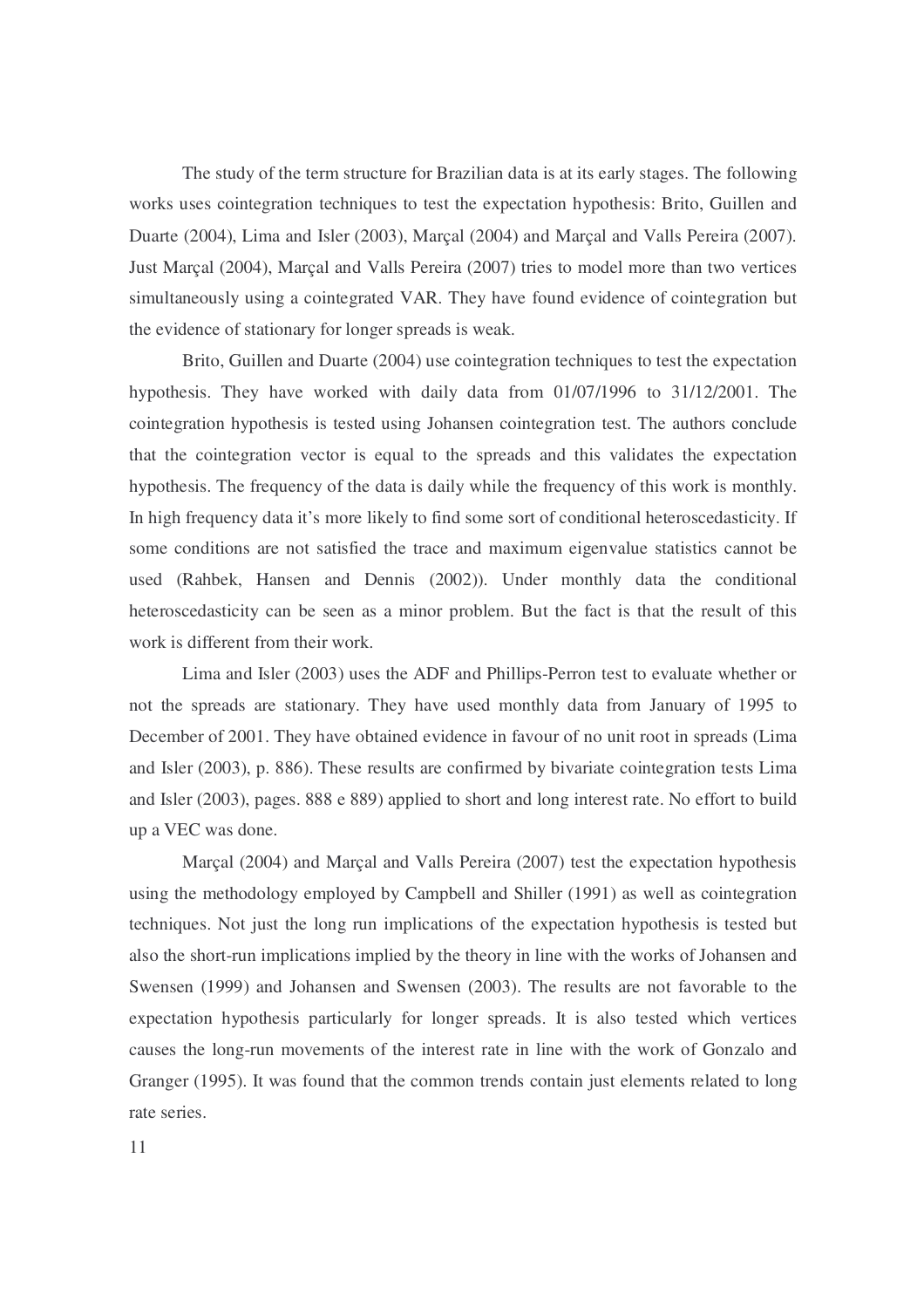The study of the term structure for Brazilian data is at its early stages. The following works uses cointegration techniques to test the expectation hypothesis: Brito, Guillen and Duarte (2004), Lima and Isler (2003), Marçal (2004) and Marçal and Valls Pereira (2007). Just Marçal (2004), Marçal and Valls Pereira (2007) tries to model more than two vertices simultaneously using a cointegrated VAR. They have found evidence of cointegration but the evidence of stationary for longer spreads is weak.

 Brito, Guillen and Duarte (2004) use cointegration techniques to test the expectation hypothesis. They have worked with daily data from 01/07/1996 to 31/12/2001. The cointegration hypothesis is tested using Johansen cointegration test. The authors conclude that the cointegration vector is equal to the spreads and this validates the expectation hypothesis. The frequency of the data is daily while the frequency of this work is monthly. In high frequency data it's more likely to find some sort of conditional heteroscedasticity. If some conditions are not satisfied the trace and maximum eigenvalue statistics cannot be used (Rahbek, Hansen and Dennis (2002)). Under monthly data the conditional heteroscedasticity can be seen as a minor problem. But the fact is that the result of this work is different from their work.

 Lima and Isler (2003) uses the ADF and Phillips-Perron test to evaluate whether or not the spreads are stationary. They have used monthly data from January of 1995 to December of 2001. They have obtained evidence in favour of no unit root in spreads (Lima and Isler (2003), p. 886). These results are confirmed by bivariate cointegration tests Lima and Isler (2003), pages. 888 e 889) applied to short and long interest rate. No effort to build up a VEC was done.

 Marçal (2004) and Marçal and Valls Pereira (2007) test the expectation hypothesis using the methodology employed by Campbell and Shiller (1991) as well as cointegration techniques. Not just the long run implications of the expectation hypothesis is tested but also the short-run implications implied by the theory in line with the works of Johansen and Swensen (1999) and Johansen and Swensen (2003). The results are not favorable to the expectation hypothesis particularly for longer spreads. It is also tested which vertices causes the long-run movements of the interest rate in line with the work of Gonzalo and Granger (1995). It was found that the common trends contain just elements related to long rate series.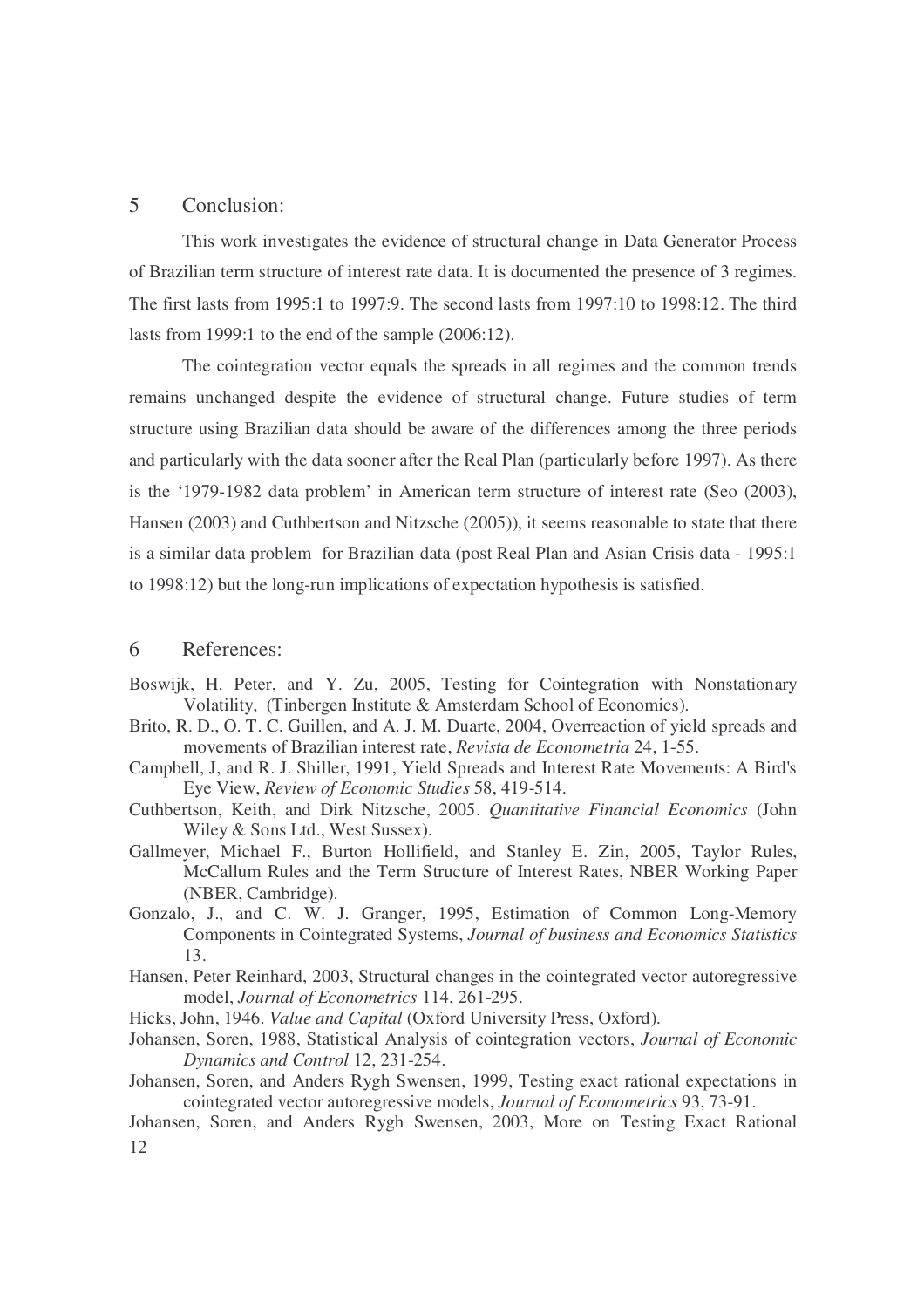### 5 Conclusion:

 This work investigates the evidence of structural change in Data Generator Process of Brazilian term structure of interest rate data. It is documented the presence of 3 regimes. The first lasts from 1995:1 to 1997:9. The second lasts from 1997:10 to 1998:12. The third lasts from 1999:1 to the end of the sample (2006:12).

 The cointegration vector equals the spreads in all regimes and the common trends remains unchanged despite the evidence of structural change. Future studies of term structure using Brazilian data should be aware of the differences among the three periods and particularly with the data sooner after the Real Plan (particularly before 1997). As there is the '1979-1982 data problem' in American term structure of interest rate (Seo (2003), Hansen (2003) and Cuthbertson and Nitzsche (2005)), it seems reasonable to state that there is a similar data problem for Brazilian data (post Real Plan and Asian Crisis data - 1995:1 to 1998:12) but the long-run implications of expectation hypothesis is satisfied.

# 6 References:

- Boswijk, H. Peter, and Y. Zu, 2005, Testing for Cointegration with Nonstationary Volatility, (Tinbergen Institute & Amsterdam School of Economics).
- Brito, R. D., O. T. C. Guillen, and A. J. M. Duarte, 2004, Overreaction of yield spreads and movements of Brazilian interest rate, *Revista de Econometria* 24, 1-55.
- Campbell, J, and R. J. Shiller, 1991, Yield Spreads and Interest Rate Movements: A Bird's Eye View, *Review of Economic Studies* 58, 419-514.
- Cuthbertson, Keith, and Dirk Nitzsche, 2005. *Quantitative Financial Economics* (John Wiley & Sons Ltd., West Sussex).
- Gallmeyer, Michael F., Burton Hollifield, and Stanley E. Zin, 2005, Taylor Rules, McCallum Rules and the Term Structure of Interest Rates, NBER Working Paper (NBER, Cambridge).
- Gonzalo, J., and C. W. J. Granger, 1995, Estimation of Common Long-Memory Components in Cointegrated Systems, *Journal of business and Economics Statistics* 13.
- Hansen, Peter Reinhard, 2003, Structural changes in the cointegrated vector autoregressive model, *Journal of Econometrics* 114, 261-295.
- Hicks, John, 1946. *Value and Capital* (Oxford University Press, Oxford).
- Johansen, Soren, 1988, Statistical Analysis of cointegration vectors, *Journal of Economic Dynamics and Control* 12, 231-254.
- Johansen, Soren, and Anders Rygh Swensen, 1999, Testing exact rational expectations in cointegrated vector autoregressive models, *Journal of Econometrics* 93, 73-91.

12 Johansen, Soren, and Anders Rygh Swensen, 2003, More on Testing Exact Rational